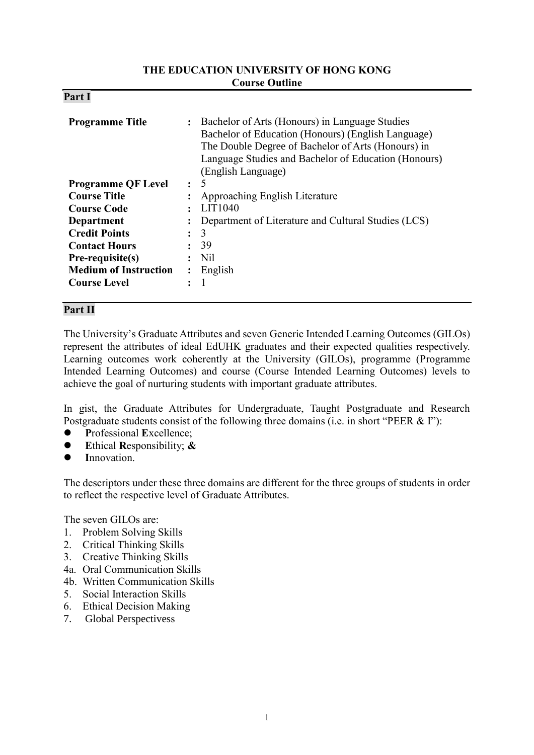#### **THE EDUCATION UNIVERSITY OF HONG KONG Course Outline**

| D.<br>'ar<br>4. |  |
|-----------------|--|
|-----------------|--|

| <b>Programme Title</b>       | $\ddot{\phantom{a}}$ | Bachelor of Arts (Honours) in Language Studies<br>Bachelor of Education (Honours) (English Language)<br>The Double Degree of Bachelor of Arts (Honours) in<br>Language Studies and Bachelor of Education (Honours)<br>(English Language) |  |
|------------------------------|----------------------|------------------------------------------------------------------------------------------------------------------------------------------------------------------------------------------------------------------------------------------|--|
| <b>Programme QF Level</b>    | $\bullet$            | 5                                                                                                                                                                                                                                        |  |
| <b>Course Title</b>          |                      | Approaching English Literature                                                                                                                                                                                                           |  |
| <b>Course Code</b>           |                      | LIT1040                                                                                                                                                                                                                                  |  |
| <b>Department</b>            |                      | Department of Literature and Cultural Studies (LCS)                                                                                                                                                                                      |  |
| <b>Credit Points</b>         | $\ddot{\cdot}$       | 3                                                                                                                                                                                                                                        |  |
| <b>Contact Hours</b>         | $\ddot{\cdot}$       | 39                                                                                                                                                                                                                                       |  |
| Pre-requisite(s)             |                      | Nil                                                                                                                                                                                                                                      |  |
| <b>Medium of Instruction</b> | $\ddot{\cdot}$       | English                                                                                                                                                                                                                                  |  |
| <b>Course Level</b>          |                      |                                                                                                                                                                                                                                          |  |

## **Part II**

The University's Graduate Attributes and seven Generic Intended Learning Outcomes (GILOs) represent the attributes of ideal EdUHK graduates and their expected qualities respectively. Learning outcomes work coherently at the University (GILOs), programme (Programme Intended Learning Outcomes) and course (Course Intended Learning Outcomes) levels to achieve the goal of nurturing students with important graduate attributes.

In gist, the Graduate Attributes for Undergraduate, Taught Postgraduate and Research Postgraduate students consist of the following three domains (i.e. in short "PEER & I"):

- **P**rofessional **E**xcellence;
- **E**thical **R**esponsibility; **&**
- **I**nnovation.

The descriptors under these three domains are different for the three groups of students in order to reflect the respective level of Graduate Attributes.

The seven GILOs are:

- 1. Problem Solving Skills
- 2. Critical Thinking Skills
- 3. Creative Thinking Skills
- 4a. Oral Communication Skills
- 4b. Written Communication Skills
- 5. Social Interaction Skills
- 6. Ethical Decision Making
- 7. Global Perspectivess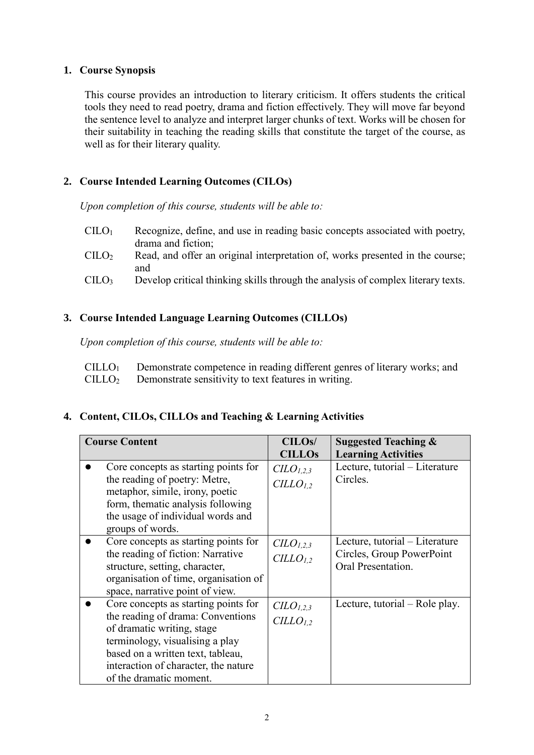#### **1. Course Synopsis**

This course provides an introduction to literary criticism. It offers students the critical tools they need to read poetry, drama and fiction effectively. They will move far beyond the sentence level to analyze and interpret larger chunks of text. Works will be chosen for their suitability in teaching the reading skills that constitute the target of the course, as well as for their literary quality.

# **2. Course Intended Learning Outcomes (CILOs)**

*Upon completion of this course, students will be able to:*

- $\text{CIIO}_1$  Recognize, define, and use in reading basic concepts associated with poetry, drama and fiction;
- CILO<sup>2</sup> Read, and offer an original interpretation of, works presented in the course; and
- CILO<sup>3</sup> Develop critical thinking skills through the analysis of complex literary texts.

# **3. Course Intended Language Learning Outcomes (CILLOs)**

*Upon completion of this course, students will be able to:*

| $CILLO1$ Demonstrate competence in reading different genres of literary works; and |
|------------------------------------------------------------------------------------|
| $CILLO2$ Demonstrate sensitivity to text features in writing.                      |

## **4. Content, CILOs, CILLOs and Teaching & Learning Activities**

| <b>Course Content</b> |                                                                                                                                                                                                                                                    | CILO <sub>s</sub> /<br><b>CILLOS</b>                      | <b>Suggested Teaching &amp;</b><br><b>Learning Activities</b>                     |
|-----------------------|----------------------------------------------------------------------------------------------------------------------------------------------------------------------------------------------------------------------------------------------------|-----------------------------------------------------------|-----------------------------------------------------------------------------------|
|                       | Core concepts as starting points for<br>the reading of poetry: Metre,<br>metaphor, simile, irony, poetic<br>form, thematic analysis following<br>the usage of individual words and<br>groups of words.                                             | $CLO_{1,2,3}$<br>CILLO <sub>1.2</sub>                     | Lecture, tutorial - Literature<br>Circles.                                        |
|                       | Core concepts as starting points for<br>the reading of fiction: Narrative<br>structure, setting, character,<br>organisation of time, organisation of<br>space, narrative point of view.                                                            | $CLO_{1,2,3}$<br>CILLO <sub>1.2</sub>                     | Lecture, tutorial – Literature<br>Circles, Group PowerPoint<br>Oral Presentation. |
|                       | Core concepts as starting points for<br>the reading of drama: Conventions<br>of dramatic writing, stage<br>terminology, visualising a play<br>based on a written text, tableau,<br>interaction of character, the nature<br>of the dramatic moment. | C <sub>L</sub> O <sub>L,2,3</sub><br>CILLO <sub>1,2</sub> | Lecture, tutorial – Role play.                                                    |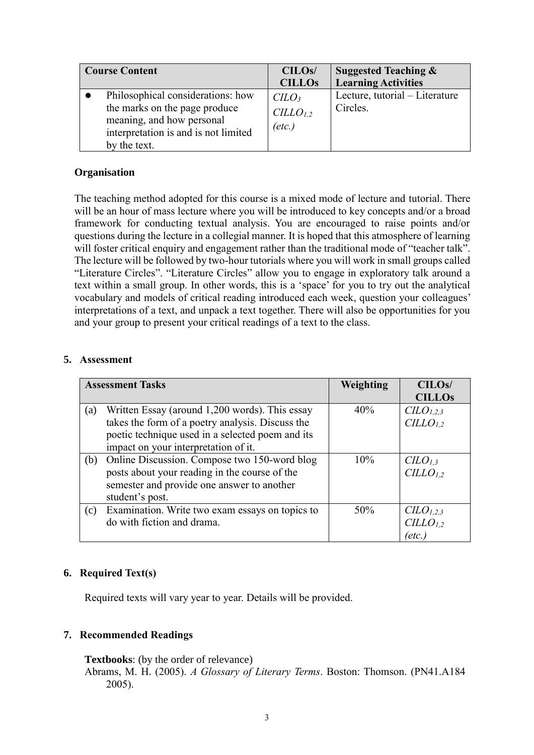| <b>Course Content</b>                                                                                                                                   | CILO <sub>s</sub> /<br><b>CILLOs</b>                        | <b>Suggested Teaching &amp;</b><br><b>Learning Activities</b> |
|---------------------------------------------------------------------------------------------------------------------------------------------------------|-------------------------------------------------------------|---------------------------------------------------------------|
| Philosophical considerations: how<br>the marks on the page produce<br>meaning, and how personal<br>interpretation is and is not limited<br>by the text. | CLO <sub>3</sub><br>CILLO <sub>1,2</sub><br>$(\text{etc.})$ | Lecture, tutorial – Literature<br>Circles.                    |

#### **Organisation**

The teaching method adopted for this course is a mixed mode of lecture and tutorial. There will be an hour of mass lecture where you will be introduced to key concepts and/or a broad framework for conducting textual analysis. You are encouraged to raise points and/or questions during the lecture in a collegial manner. It is hoped that this atmosphere of learning will foster critical enquiry and engagement rather than the traditional mode of "teacher talk". The lecture will be followed by two-hour tutorials where you will work in small groups called "Literature Circles". "Literature Circles" allow you to engage in exploratory talk around a text within a small group. In other words, this is a 'space' for you to try out the analytical vocabulary and models of critical reading introduced each week, question your colleagues' interpretations of a text, and unpack a text together. There will also be opportunities for you and your group to present your critical readings of a text to the class.

#### **5. Assessment**

|     | <b>Assessment Tasks</b>                          | Weighting | CILO <sub>s</sub> /               |
|-----|--------------------------------------------------|-----------|-----------------------------------|
|     |                                                  |           | <b>CILLOs</b>                     |
| (a) | Written Essay (around 1,200 words). This essay   | 40%       | CLO <sub>1,2,3</sub>              |
|     | takes the form of a poetry analysis. Discuss the |           | CILLO <sub>1,2</sub>              |
|     | poetic technique used in a selected poem and its |           |                                   |
|     | impact on your interpretation of it.             |           |                                   |
| (b) | Online Discussion. Compose two 150-word blog     | 10%       | C <sub>L</sub> O <sub>L,3</sub>   |
|     | posts about your reading in the course of the    |           | $CILLO_{1,2}$                     |
|     | semester and provide one answer to another       |           |                                   |
|     | student's post.                                  |           |                                   |
| (c) | Examination. Write two exam essays on topics to  | 50%       | C <sub>L</sub> O <sub>L,2,3</sub> |
|     | do with fiction and drama.                       |           | CILLO <sub>1,2</sub>              |
|     |                                                  |           | 'etc.                             |

## **6. Required Text(s)**

Required texts will vary year to year. Details will be provided.

## **7. Recommended Readings**

**Textbooks**: (by the order of relevance)

Abrams, M. H. (2005). *A Glossary of Literary Terms*. Boston: Thomson. (PN41.A184 2005).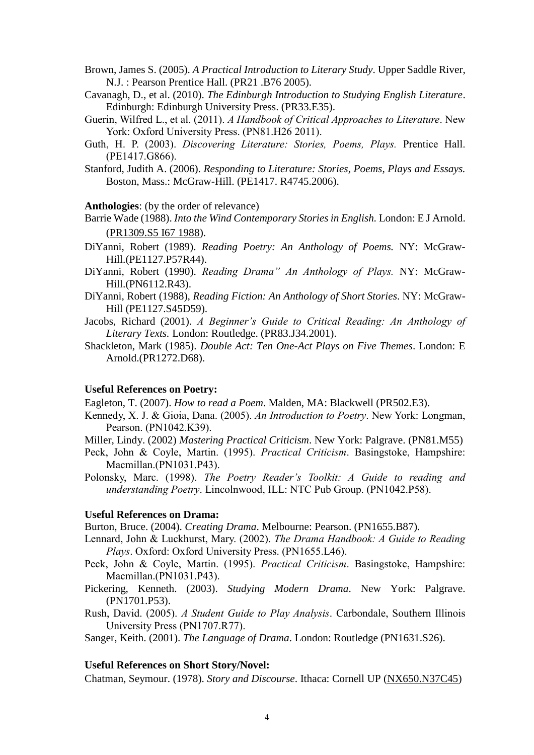[Brown, James S.](http://library.ied.edu.hk/search/aBrown%2C+James+S.%2C+1964-/abrown+james+s+1964/-2,-1,0,B/browse) (2005). *A Practical Introduction to Literary Study*. Upper Saddle River, N.J. : Pearson Prentice Hall. [\(PR21 .B76 2005\)](http://library.ied.edu.hk/search/cPR21+.B76+2005/cpr+++21+b76+2005/-2,-1,,E/browse).

- Cavanagh, D., et al. (2010). *The Edinburgh Introduction to Studying English Literature*. Edinburgh: Edinburgh University Press. (PR33.E35).
- Guerin, Wilfred L., et al. (2011). *A Handbook of Critical Approaches to Literature*. New York: Oxford University Press. (PN81.H26 2011).
- Guth, H. P. (2003). *Discovering Literature: Stories, Poems, Plays.* Prentice Hall. (PE1417.G866).
- Stanford, Judith A. (2006). *Responding to Literature: Stories, Poems, Plays and Essays.* Boston, Mass.: McGraw-Hill. (PE1417. R4745.2006).

**Anthologies**: (by the order of relevance)

- Barrie Wade (1988). *Into the Wind Contemporary Stories in English.* London: E J Arnold. [\(PR1309.S5 I67 1988\)](http://library.ied.edu.hk/search/cPR1309.S5+I67+1988/cpr+1309+s5+i67+1988/-2,-1,,E/browse).
- DiYanni, Robert (1989). *Reading Poetry: An Anthology of Poems.* NY: McGraw-Hill.(PE1127.P57R44).
- DiYanni, Robert (1990). *Reading Drama" An Anthology of Plays.* NY: McGraw-Hill.(PN6112.R43).
- DiYanni, Robert (1988), *Reading Fiction: An Anthology of Short Stories*. NY: McGraw-Hill (PE1127.S45D59).
- Jacobs, Richard (2001). *A Beginner's Guide to Critical Reading: An Anthology of Literary Texts.* London: Routledge. (PR83.J34.2001).
- Shackleton, Mark (1985). *Double Act: Ten One-Act Plays on Five Themes*. London: E Arnold.(PR1272.D68).

#### **Useful References on Poetry:**

Eagleton, T. (2007). *How to read a Poem*. Malden, MA: Blackwell (PR502.E3).

- Kennedy, X. J. & Gioia, Dana. (2005). *An Introduction to Poetry*. New York: Longman, Pearson. (PN1042.K39).
- Miller, Lindy. (2002) *Mastering Practical Criticism*. New York: Palgrave. (PN81.M55)
- Peck, John & Coyle, Martin. (1995). *Practical Criticism*. Basingstoke, Hampshire: Macmillan.(PN1031.P43).
- Polonsky, Marc. (1998). *The Poetry Reader's Toolkit: A Guide to reading and understanding Poetry*. Lincolnwood, ILL: NTC Pub Group. (PN1042.P58).

#### **Useful References on Drama:**

Burton, Bruce. (2004). *Creating Drama*. Melbourne: Pearson. (PN1655.B87).

- Lennard, John & Luckhurst, Mary. (2002). *The Drama Handbook: A Guide to Reading Plays*. Oxford: Oxford University Press. (PN1655.L46).
- Peck, John & Coyle, Martin. (1995). *Practical Criticism*. Basingstoke, Hampshire: Macmillan.(PN1031.P43).
- Pickering, Kenneth. (2003). *Studying Modern Drama*. New York: Palgrave. (PN1701.P53).
- Rush, David. (2005). *A Student Guide to Play Analysis*. Carbondale, Southern Illinois University Press (PN1707.R77).

Sanger, Keith. (2001). *The Language of Drama*. London: Routledge (PN1631.S26).

#### **Useful References on Short Story/Novel:**

Chatman, Seymour. (1978). *Story and Discourse*. Ithaca: Cornell UP [\(NX650.N37C45\)](http://linc.nus.edu.sg/search/tStory+and+Discourse/tstory+and+discourse/1,2,2,B/frameset&FF=tstory+and+discourse+narrative+structure+in+fiction+and+film&1,1,)